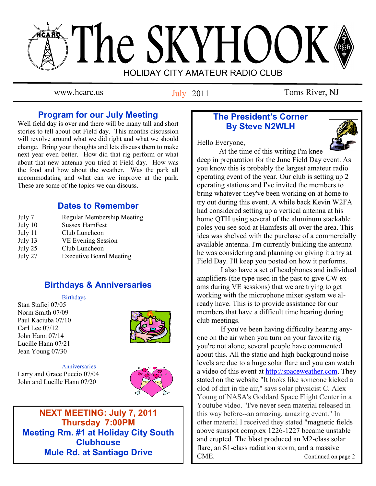# The SKYHOOK HOLIDAY CITY AMATEUR RADIO CLUB

July 2011

www.hcarc.us Iuly 2011 Toms River, NJ

# **Program for our July Meeting**

Well field day is over and there will be many tall and short stories to tell about out Field day. This months discussion will revolve around what we did right and what we should change. Bring your thoughts and lets discuss them to make next year even better. How did that rig perform or what about that new antenna you tried at Field day. How was the food and how about the weather. Was the park all accommodating and what can we improve at the park. These are some of the topics we can discuss.

# **Dates to Remember**

July 7 Regular Membership Meeting July 10 Sussex HamFest July 11 Club Luncheon July 13 VE Evening Session July 25 Club Luncheon July 27 Executive Board Meeting

# **Birthdays & Anniversaries**

#### Birthdays

Stan Stafiej 07/05 Norm Smith 07/09 Paul Kaciuba 07/10 Carl Lee 07/12 John Hann 07/14 Lucille Hann 07/21 Jean Young 07/30



**Anniversaries** Larry and Grace Puccio 07/04 John and Lucille Hann 07/20



**NEXT MEETING: July 7, 2011 Thursday 7:00PM Meeting Rm. #1 at Holiday City South Clubhouse Mule Rd. at Santiago Drive**

# **The President's Corner By Steve N2WLH**

Hello Everyone,



 At the time of this writing I'm knee deep in preparation for the June Field Day event. As you know this is probably the largest amateur radio operating event of the year. Our club is setting up 2 operating stations and I've invited the members to bring whatever they've been working on at home to try out during this event. A while back Kevin W2FA had considered setting up a vertical antenna at his home QTH using several of the aluminum stackable poles you see sold at Hamfests all over the area. This idea was shelved with the purchase of a commercially available antenna. I'm currently building the antenna he was considering and planning on giving it a try at Field Day. I'll keep you posted on how it performs.

 I also have a set of headphones and individual amplifiers (the type used in the past to give CW exams during VE sessions) that we are trying to get working with the microphone mixer system we already have. This is to provide assistance for our members that have a difficult time hearing during club meetings.

 If you've been having difficulty hearing anyone on the air when you turn on your favorite rig you're not alone; several people have commented about this. All the static and high background noise levels are due to a huge solar flare and you can watch a video of this event at [http://spaceweather.com.](http://spaceweather.com) They stated on the website "It looks like someone kicked a clod of dirt in the air," says solar physicist C. Alex Young of NASA's Goddard Space Flight Center in a Youtube video. "I've never seen material released in this way before--an amazing, amazing event." In other material I received they stated "magnetic fields above sunspot complex 1226-1227 became unstable and erupted. The blast produced an M2-class solar flare, an S1-class radiation storm, and a massive CME. Continued on page 2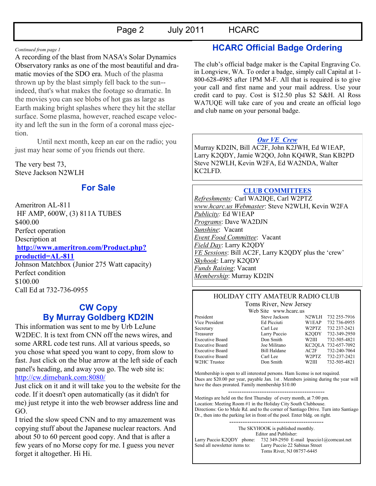#### *Continued from page 1*

A recording of the blast from NASA's Solar Dynamics Observatory ranks as one of the most beautiful and dramatic movies of the SDO era. Much of the plasma thrown up by the blast simply fell back to the sun- indeed, that's what makes the footage so dramatic. In the movies you can see blobs of hot gas as large as Earth making bright splashes where they hit the stellar surface. Some plasma, however, reached escape velocity and left the sun in the form of a coronal mass ejection.

 Until next month, keep an ear on the radio; you just may hear some of you friends out there.

The very best 73, Steve Jackson N2WLH

# **For Sale**

Ameritron AL-811 HF AMP, 600W, (3) 811A TUBES \$400.00 Perfect operation Description at **[http://www.ameritron.com/Product.php?](http://www.ameritron.com/Product.php?productid=AL-811) [productid=AL-811](http://www.ameritron.com/Product.php?productid=AL-811)** Johnson Matchbox (Junior 275 Watt capacity) Perfect condition \$100.00

Call Ed at 732-736-0955

# **CW Copy By Murray Goldberg KD2IN**

This information was sent to me by Urb LeJune W2DEC. It is text from CNN off the news wires, and some ARRL code test runs. All at various speeds, so you chose what speed you want to copy, from slow to fast. Just click on the blue arrow at the left side of each panel's heading, and away you go. The web site is: <http://cw.dimebank.com:8080/>

Just click on it and it will take you to the website for the code. If it doesn't open automatically (as it didn't for me) just retype it into the web browser address line and GO.

I tried the slow speed CNN and to my amazement was copying stuff about the Japanese nuclear reactors. And about 50 to 60 percent good copy. And that is after a few years of no Morse copy for me. I guess you never forget it altogether. Hi Hi.

# **HCARC Official Badge Ordering**

The club's official badge maker is the Capital Engraving Co. in Longview, WA. To order a badge, simply call Capital at 1- 800-628-4985 after 1PM M-F. All that is required is to give your call and first name and your mail address. Use your credit card to pay. Cost is \$12.50 plus \$2 S&H. Al Ross WA7UQE will take care of you and create an official logo and club name on your personal badge.

#### *Our VE Crew*

Murray KD2IN, Bill AC2F, John K2JWH, Ed W1EAP, Larry K2QDY, Jamie W2QO, John KQ4WR, Stan KB2PD Steve N2WLH, Kevin W2FA, Ed WA2NDA, Walter KC2LFD.

#### **CLUB COMMITTEES**

*Refreshments:* Carl WA2IQE, Carl W2PTZ *www.hcarc.us Webmaster*: Steve N2WLH, Kevin W2FA *Publicity:* Ed W1EAP *Programs*: Dave WA2DJN *Sunshine*: Vacant *Event Food Committee*: Vacant *Field Day*: Larry K2QDY *VE Sessions*: Bill AC2F, Larry K2QDY plus the 'crew' *Skyhook*: Larry K2QDY *Funds Raising*: Vacant *Membership*: Murray KD2IN

#### HOLIDAY CITY AMATEUR RADIO CLUB Toms River, New Jersey

W2HC Trustee Don Smith

Web Site www.hcarc.us President Steve Jackson N2WLH 732 255-7916 Vice President Ed Picciuti W1EAP 732 736-0955 Secretary Carl Lee W2PTZ 732 237-2421<br>Treasurer Larry Puccio K2QDY 732-349-2950 Treasurer Larry Puccio K2QDY 732-349-2950<br>Executive Board Don Smith W2III 732-505-4821 Executive Board Don Smith W2III 732-505-4821 Executive Board Joe Militano KC2QLA 732-657-7092

Executive Board Bill Haldane AC2F 732-240-7064 Executive Board Carl Lee W2PTZ 732-237-2421 Membership is open to all interested persons. Ham license is not required.

Dues are \$20.00 per year, payable Jan. 1st . Members joining during the year will have the dues prorated. Family membership \$10.00 -------------------------------------------

Meetings are held on the first Thursday of every month, at 7:00 pm. Location: Meeting Room #1 in the Holiday City South Clubhouse. Directions: Go to Mule Rd. and to the corner of Santiago Drive. Turn into Santiago Dr., then into the parking lot in front of the pool. Enter bldg. on right.

> ------------------------------------------ The SKYHOOK is published monthly. Editor and Publisher:

Larry Puccio K2QDY phone: 732 349-2950 E-mail lpuccio1@comcast.net<br>Send all newsletter items to: Larry Puccio 22 Sabinas Street Larry Puccio 22 Sabinas Street Toms River, NJ 08757-6445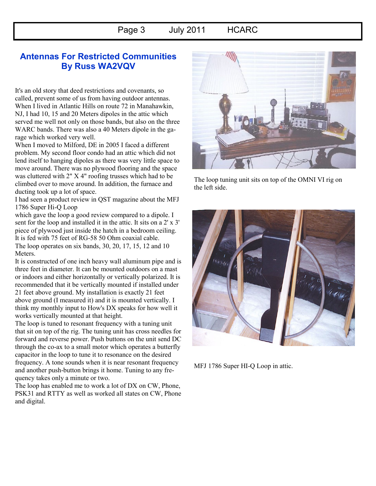# **Antennas For Restricted Communities By Russ WA2VQV**

It's an old story that deed restrictions and covenants, so called, prevent some of us from having outdoor antennas. When I lived in Atlantic Hills on route 72 in Manahawkin, NJ, I had 10, 15 and 20 Meters dipoles in the attic which served me well not only on those bands, but also on the three WARC bands. There was also a 40 Meters dipole in the garage which worked very well.

When I moved to Milford, DE in 2005 I faced a different problem. My second floor condo had an attic which did not lend itself to hanging dipoles as there was very little space to move around. There was no plywood flooring and the space was cluttered with 2" X 4" roofing trusses which had to be climbed over to move around. In addition, the furnace and ducting took up a lot of space.

I had seen a product review in QST magazine about the MFJ 1786 Super Hi-Q Loop

which gave the loop a good review compared to a dipole. I sent for the loop and installed it in the attic. It sits on a 2' x 3' piece of plywood just inside the hatch in a bedroom ceiling. It is fed with 75 feet of RG-58 50 Ohm coaxial cable. The loop operates on six bands, 30, 20, 17, 15, 12 and 10 Meters.

It is constructed of one inch heavy wall aluminum pipe and is three feet in diameter. It can be mounted outdoors on a mast or indoors and either horizontally or vertically polarized. It is recommended that it be vertically mounted if installed under 21 feet above ground. My installation is exactly 21 feet above ground (I measured it) and it is mounted vertically. I think my monthly input to How's DX speaks for how well it works vertically mounted at that height.

The loop is tuned to resonant frequency with a tuning unit that sit on top of the rig. The tuning unit has cross needles for forward and reverse power. Push buttons on the unit send DC through the co-ax to a small motor which operates a butterfly capacitor in the loop to tune it to resonance on the desired frequency. A tone sounds when it is near resonant frequency and another push-button brings it home. Tuning to any frequency takes only a minute or two.

The loop has enabled me to work a lot of DX on CW, Phone, PSK31 and RTTY as well as worked all states on CW, Phone and digital.



The loop tuning unit sits on top of the OMNI VI rig on the left side.



MFJ 1786 Super HI-Q Loop in attic.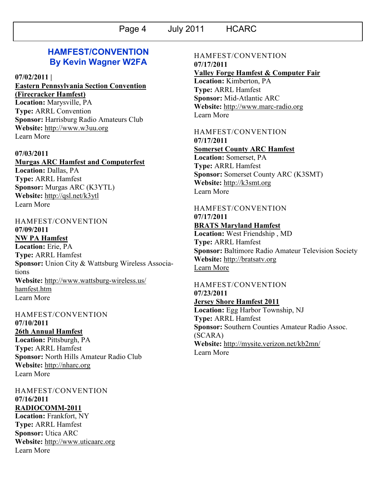# **HAMFEST/CONVENTION By Kevin Wagner W2FA**

#### **07/02/2011 |**

# **[Eastern Pennsylvania Section Convention](http://www.arrl.org/hamfests/eastern-pennsylvania-section-convention-firecracker-hamfest-1)  [\(Firecracker Hamfest\)](http://www.arrl.org/hamfests/eastern-pennsylvania-section-convention-firecracker-hamfest-1)**

**Location:** Marysville, PA **Type:** ARRL Convention **Sponsor:** Harrisburg Radio Amateurs Club **Website:** [http://www.w3uu.org](http://www.w3uu.org/) [Learn More](http://www.arrl.org/hamfests/eastern-pennsylvania-section-convention-firecracker-hamfest-1)

#### **07/03/2011**

**[Murgas ARC Hamfest and Computerfest](http://www.arrl.org/hamfests/murgas-arc-hamfest-and-computerfest) Location:** Dallas, PA **Type:** ARRL Hamfest **Sponsor:** Murgas ARC (K3YTL) **Website:** <http://qsl.net/k3ytl> [Learn More](http://www.arrl.org/hamfests/murgas-arc-hamfest-and-computerfest)

## HAMFEST/CONVENTION **07/09/2011**

**[NW PA Hamfest](http://www.arrl.org/hamfests/nw-pa-hamfest) Location:** Erie, PA **Type:** ARRL Hamfest **Sponsor:** Union City & Wattsburg Wireless Associations **Website:** [http://www.wattsburg-wireless.us/](http://www.wattsburg-wireless.us/hamfest.htm) [hamfest.htm](http://www.wattsburg-wireless.us/hamfest.htm) [Learn More](http://www.arrl.org/hamfests/nw-pa-hamfest)

### HAMFEST/CONVENTION **07/10/2011 [26th Annual Hamfest](http://www.arrl.org/hamfests/26th-annual-hamfest) Location:** Pittsburgh, PA **Type:** ARRL Hamfest **Sponsor:** North Hills Amateur Radio Club **Website:** [http://nharc.org](http://nharc.org/) [Learn More](http://www.arrl.org/hamfests/26th-annual-hamfest)

## HAMFEST/CONVENTION **07/16/2011 [RADIOCOMM-2011](http://www.arrl.org/hamfests/radiocomm-2011) Location:** Frankfort, NY **Type:** ARRL Hamfest **Sponsor:** Utica ARC

**Website:** [http://www.uticaarc.org](http://www.uticaarc.org/) [Learn More](http://www.arrl.org/hamfests/radiocomm-2011)

#### HAMFEST/CONVENTION **07/17/2011**

#### **[Valley Forge Hamfest & Computer Fair](http://www.arrl.org/hamfests/valley-forge-hamfest-computer-fair)**

**Location:** Kimberton, PA **Type:** ARRL Hamfest **Sponsor:** Mid-Atlantic ARC **Website:** [http://www.marc-radio.org](http://www.marc-radio.org/) [Learn More](http://www.arrl.org/hamfests/valley-forge-hamfest-computer-fair)

## HAMFEST/CONVENTION

**07/17/2011 [Somerset County ARC Hamfest](http://www.arrl.org/hamfests/somerset-county-arc-hamfest) Location:** Somerset, PA **Type:** ARRL Hamfest **Sponsor:** Somerset County ARC (K3SMT) **Website:** [http://k3smt.org](http://k3smt.org/) [Learn More](http://www.arrl.org/hamfests/somerset-county-arc-hamfest)

## HAMFEST/CONVENTION **07/17/2011 [BRATS Maryland Hamfest](http://www.arrl.org/hamfests/brats-maryland-hamfest)**

**Location:** West Friendship , MD **Type:** ARRL Hamfest **Sponsor:** Baltimore Radio Amateur Television Society **Website:** [http://bratsatv.org](http://bratsatv.org/) [Learn More](http://www.arrl.org/hamfests/brats-maryland-hamfest)

#### HAMFEST/CONVENTION **07/23/2011 [Jersey Shore Hamfest 2011](http://www.arrl.org/hamfests/jersey-shore-hamfest-2011)**

**Location:** Egg Harbor Township, NJ **Type:** ARRL Hamfest **Sponsor:** Southern Counties Amateur Radio Assoc. (SCARA) **Website:** <http://mysite.verizon.net/kb2mn/> [Learn More](http://www.arrl.org/hamfests/jersey-shore-hamfest-2011)